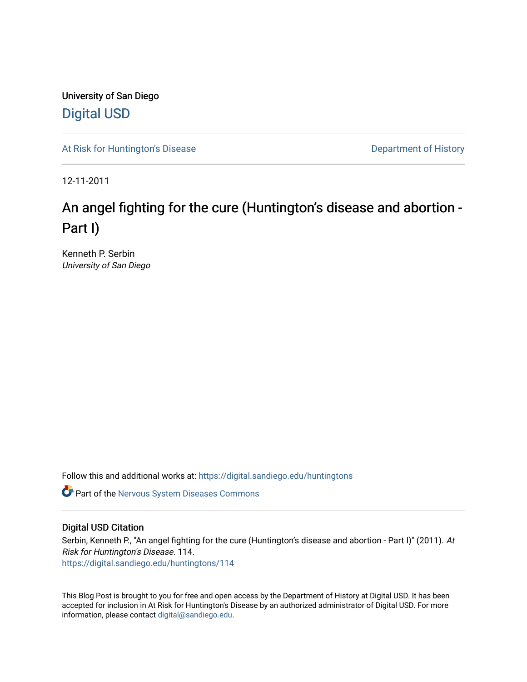University of San Diego [Digital USD](https://digital.sandiego.edu/)

[At Risk for Huntington's Disease](https://digital.sandiego.edu/huntingtons) **Department of History** Department of History

12-11-2011

# An angel fighting for the cure (Huntington's disease and abortion -Part I)

Kenneth P. Serbin University of San Diego

Follow this and additional works at: [https://digital.sandiego.edu/huntingtons](https://digital.sandiego.edu/huntingtons?utm_source=digital.sandiego.edu%2Fhuntingtons%2F114&utm_medium=PDF&utm_campaign=PDFCoverPages)

**C** Part of the [Nervous System Diseases Commons](http://network.bepress.com/hgg/discipline/928?utm_source=digital.sandiego.edu%2Fhuntingtons%2F114&utm_medium=PDF&utm_campaign=PDFCoverPages)

# Digital USD Citation

Serbin, Kenneth P., "An angel fighting for the cure (Huntington's disease and abortion - Part I)" (2011). At Risk for Huntington's Disease. 114. [https://digital.sandiego.edu/huntingtons/114](https://digital.sandiego.edu/huntingtons/114?utm_source=digital.sandiego.edu%2Fhuntingtons%2F114&utm_medium=PDF&utm_campaign=PDFCoverPages)

This Blog Post is brought to you for free and open access by the Department of History at Digital USD. It has been accepted for inclusion in At Risk for Huntington's Disease by an authorized administrator of Digital USD. For more information, please contact [digital@sandiego.edu.](mailto:digital@sandiego.edu)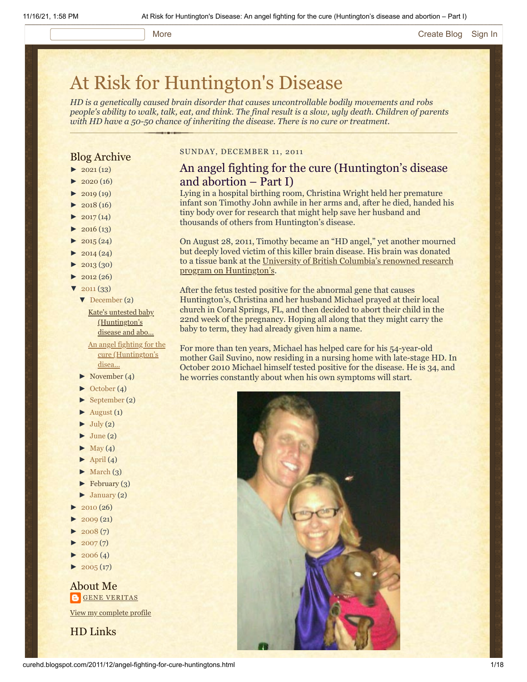# [At Risk for Huntington's Disease](http://curehd.blogspot.com/)

*HD is a genetically caused brain disorder that causes uncontrollable bodily movements and robs people's ability to walk, talk, eat, and think. The final result is a slow, ugly death. Children of parents with HD have a 50-50 chance of inheriting the disease. There is no cure or treatment.*

# Blog Archive

- $\blacktriangleright$  [2021](http://curehd.blogspot.com/2021/) (12)
- $2020(16)$  $2020(16)$
- $2019(19)$  $2019(19)$
- $2018(16)$  $2018(16)$
- $2017(14)$  $2017(14)$
- $2016(13)$  $2016(13)$
- $\blacktriangleright$  [2015](http://curehd.blogspot.com/2015/) (24)
- $2014(24)$  $2014(24)$
- [►](javascript:void(0)) [2013](http://curehd.blogspot.com/2013/) (30)
- $\blacktriangleright$  [2012](http://curehd.blogspot.com/2012/) (26)
- $2011(33)$  $2011(33)$ 
	- [▼](javascript:void(0)) [December](http://curehd.blogspot.com/2011/12/) (2)

Kate's untested baby [\(Huntington's](http://curehd.blogspot.com/2011/12/kates-untested-baby-huntingtons-disease.html) disease and abo...

An angel fighting for the cure [\(Huntington's](http://curehd.blogspot.com/2011/12/angel-fighting-for-cure-huntingtons.html) disea...

- $\blacktriangleright$  [November](http://curehd.blogspot.com/2011/11/) (4)
- [►](javascript:void(0)) [October](http://curehd.blogspot.com/2011/10/) (4)
- [►](javascript:void(0)) [September](http://curehd.blogspot.com/2011/09/) (2)
- $\blacktriangleright$  [August](http://curehd.blogspot.com/2011/08/) (1)
- $\blacktriangleright$  [July](http://curehd.blogspot.com/2011/07/) (2)
- $June (2)$  $June (2)$
- $\blacktriangleright$  [May](http://curehd.blogspot.com/2011/05/) (4)
- $\blacktriangleright$  [April](http://curehd.blogspot.com/2011/04/) (4)
- $\blacktriangleright$  [March](http://curehd.blogspot.com/2011/03/) (3)
- $\blacktriangleright$  [February](http://curehd.blogspot.com/2011/02/) (3)
- $\blacktriangleright$  [January](http://curehd.blogspot.com/2011/01/) (2)
- $2010(26)$  $2010(26)$
- $2009(21)$  $2009(21)$
- $2008(7)$  $2008(7)$
- $2007(7)$  $2007(7)$
- $2006(4)$  $2006(4)$
- $\blacktriangleright$  [2005](http://curehd.blogspot.com/2005/) (17)

About Me **GENE [VERITAS](https://www.blogger.com/profile/10911736205741688185)** 

View my [complete](https://www.blogger.com/profile/10911736205741688185) profile

HD Links

#### SUNDAY, DECEMBER 11, 2011

# An angel fighting for the cure (Huntington's disease and abortion – Part I)

Lying in a hospital birthing room, Christina Wright held her premature infant son Timothy John awhile in her arms and, after he died, handed his tiny body over for research that might help save her husband and thousands of others from Huntington's disease.

On August 28, 2011, Timothy became an "HD angel," yet another mourned but deeply loved victim of this killer brain disease. His brain was donated [to a tissue bank at the University of British Columbia's renowned research](http://www.cmmt.ubc.ca/outreach/hd-clinic) program on Huntington's.

After the fetus tested positive for the abnormal gene that causes Huntington's, Christina and her husband Michael prayed at their local church in Coral Springs, FL, and then decided to abort their child in the 22nd week of the pregnancy. Hoping all along that they might carry the baby to term, they had already given him a name.

For more than ten years, Michael has helped care for his 54-year-old mother Gail Suvino, now residing in a nursing home with late-stage HD. In October 2010 Michael himself tested positive for the disease. He is 34, and he worries constantly about when his own symptoms will start.

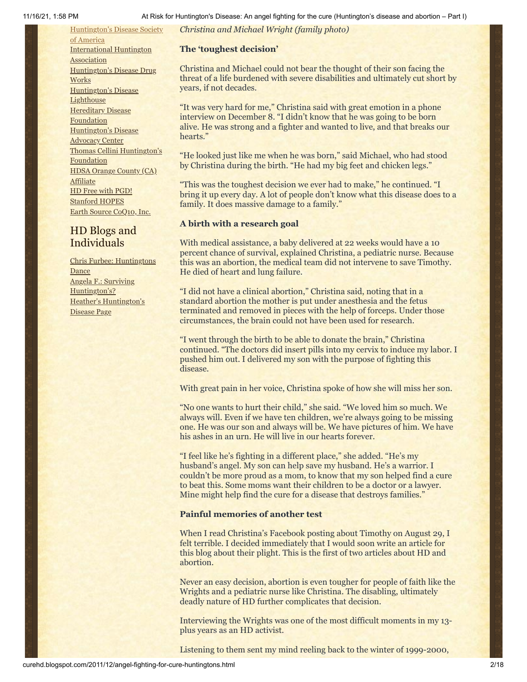*Christina and Michael Wright (family photo)*

#### **The 'toughest decision'**

Christina and Michael could not bear the thought of their son facing the threat of a life burdened with severe disabilities and ultimately cut short by years, if not decades.

"It was very hard for me," Christina said with great emotion in a phone interview on December 8. "I didn't know that he was going to be born alive. He was strong and a fighter and wanted to live, and that breaks our hearts."

"He looked just like me when he was born," said Michael, who had stood by Christina during the birth. "He had my big feet and chicken legs."

"This was the toughest decision we ever had to make," he continued. "I bring it up every day. A lot of people don't know what this disease does to a family. It does massive damage to a family."

#### **A birth with a research goal**

With medical assistance, a baby delivered at 22 weeks would have a 10 percent chance of survival, explained Christina, a pediatric nurse. Because this was an abortion, the medical team did not intervene to save Timothy. He died of heart and lung failure.

"I did not have a clinical abortion," Christina said, noting that in a standard abortion the mother is put under anesthesia and the fetus terminated and removed in pieces with the help of forceps. Under those circumstances, the brain could not have been used for research.

"I went through the birth to be able to donate the brain," Christina continued. "The doctors did insert pills into my cervix to induce my labor. I pushed him out. I delivered my son with the purpose of fighting this disease.

With great pain in her voice, Christina spoke of how she will miss her son.

"No one wants to hurt their child," she said. "We loved him so much. We always will. Even if we have ten children, we're always going to be missing one. He was our son and always will be. We have pictures of him. We have his ashes in an urn. He will live in our hearts forever.

"I feel like he's fighting in a different place," she added. "He's my husband's angel. My son can help save my husband. He's a warrior. I couldn't be more proud as a mom, to know that my son helped find a cure to beat this. Some moms want their children to be a doctor or a lawyer. Mine might help find the cure for a disease that destroys families."

# **Painful memories of another test**

When I read Christina's Facebook posting about Timothy on August 29, I felt terrible. I decided immediately that I would soon write an article for this blog about their plight. This is the first of two articles about HD and abortion.

Never an easy decision, abortion is even tougher for people of faith like the Wrights and a pediatric nurse like Christina. The disabling, ultimately deadly nature of HD further complicates that decision.

Interviewing the Wrights was one of the most difficult moments in my 13 plus years as an HD activist.

Listening to them sent my mind reeling back to the winter of 1999-2000,

[Huntington's](http://www.hdsa.org/) Disease Society of America [International](http://www.huntington-assoc.com/) Huntington **Association** [Huntington's](http://hddrugworks.org/) Disease Drug **Works** [Huntington's](http://www.hdlighthouse.org/) Disease **Lighthouse** [Hereditary](http://www.hdfoundation.org/) Disease Foundation [Huntington's](http://www.hdac.org/) Disease Advocacy Center Thomas [Cellini Huntington's](http://www.ourtchfoundation.org/) **Foundation** HDSA Orange County (CA) **[Affiliate](http://www.hdsaoc.org/)** HD Free with [PGD!](http://www.hdfreewithpgd.com/) [Stanford](http://www.stanford.edu/group/hopes/) HOPES Earth Source [CoQ10,](http://www.escoq10.com/) Inc.

# HD Blogs and Individuals

Chris Furbee: [Huntingtons](http://www.huntingtonsdance.org/) **Dance** Angela F.: Surviving [Huntington's?](http://survivinghuntingtons.blogspot.com/) Heather's [Huntington's](http://heatherdugdale.angelfire.com/) Disease Page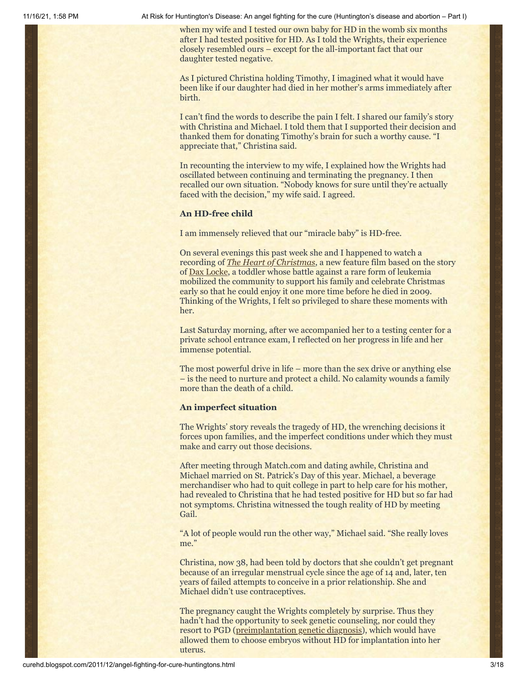when my wife and I tested our own baby for HD in the womb six months after I had tested positive for HD. As I told the Wrights, their experience closely resembled ours – except for the all-important fact that our daughter tested negative.

As I pictured Christina holding Timothy, I imagined what it would have been like if our daughter had died in her mother's arms immediately after birth.

I can't find the words to describe the pain I felt. I shared our family's story with Christina and Michael. I told them that I supported their decision and thanked them for donating Timothy's brain for such a worthy cause. "I appreciate that," Christina said.

In recounting the interview to my wife, I explained how the Wrights had oscillated between continuing and terminating the pregnancy. I then recalled our own situation. "Nobody knows for sure until they're actually faced with the decision," my wife said. I agreed.

#### **An HD-free child**

I am immensely relieved that our "miracle baby" is HD-free.

On several evenings this past week she and I happened to watch a recording of *[The Heart of Christmas](http://watchgmctv.com/heartofchristmasmovie)*, a new feature film based on the story of [Dax Locke](http://www.daxlocke.com/), a toddler whose battle against a rare form of leukemia mobilized the community to support his family and celebrate Christmas early so that he could enjoy it one more time before he died in 2009. Thinking of the Wrights, I felt so privileged to share these moments with her.

Last Saturday morning, after we accompanied her to a testing center for a private school entrance exam, I reflected on her progress in life and her immense potential.

The most powerful drive in life – more than the sex drive or anything else – is the need to nurture and protect a child. No calamity wounds a family more than the death of a child.

#### **An imperfect situation**

The Wrights' story reveals the tragedy of HD, the wrenching decisions it forces upon families, and the imperfect conditions under which they must make and carry out those decisions.

After meeting through Match.com and dating awhile, Christina and Michael married on St. Patrick's Day of this year. Michael, a beverage merchandiser who had to quit college in part to help care for his mother, had revealed to Christina that he had tested positive for HD but so far had not symptoms. Christina witnessed the tough reality of HD by meeting Gail.

"A lot of people would run the other way," Michael said. "She really loves me."

Christina, now 38, had been told by doctors that she couldn't get pregnant because of an irregular menstrual cycle since the age of 14 and, later, ten years of failed attempts to conceive in a prior relationship. She and Michael didn't use contraceptives.

The pregnancy caught the Wrights completely by surprise. Thus they hadn't had the opportunity to seek genetic counseling, nor could they resort to PGD [\(preimplantation genetic diagnosis](http://www.hdfreewithpgd.com/)), which would have allowed them to choose embryos without HD for implantation into her uterus.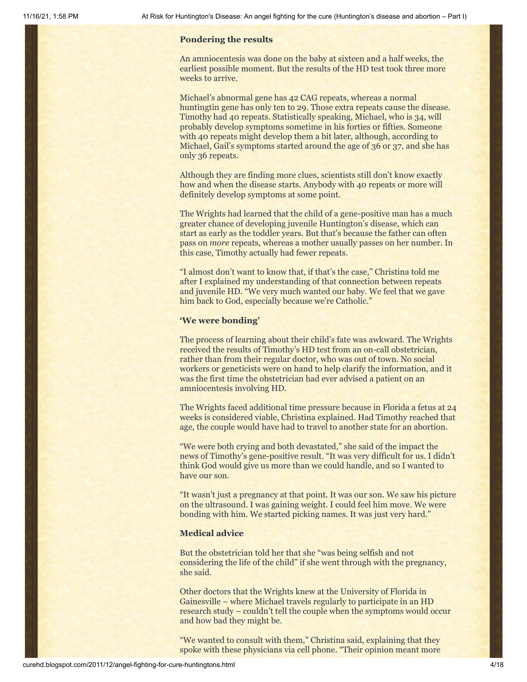#### **Pondering the results**

An amniocentesis was done on the baby at sixteen and a half weeks, the earliest possible moment. But the results of the HD test took three more weeks to arrive.

Michael's abnormal gene has 42 CAG repeats, whereas a normal huntingtin gene has only ten to 29. Those extra repeats cause the disease. Timothy had 40 repeats. Statistically speaking, Michael, who is 34, will probably develop symptoms sometime in his forties or fifties. Someone with 40 repeats might develop them a bit later, although, according to Michael, Gail's symptoms started around the age of 36 or 37, and she has only 36 repeats.

Although they are finding more clues, scientists still don't know exactly how and when the disease starts. Anybody with 40 repeats or more will definitely develop symptoms at some point.

The Wrights had learned that the child of a gene-positive man has a much greater chance of developing juvenile Huntington's disease, which can start as early as the toddler years. But that's because the father can often pass on *more* repeats, whereas a mother usually passes on her number. In this case, Timothy actually had fewer repeats.

"I almost don't want to know that, if that's the case," Christina told me after I explained my understanding of that connection between repeats and juvenile HD. "We very much wanted our baby. We feel that we gave him back to God, especially because we're Catholic."

#### **'We were bonding'**

The process of learning about their child's fate was awkward. The Wrights received the results of Timothy's HD test from an on-call obstetrician, rather than from their regular doctor, who was out of town. No social workers or geneticists were on hand to help clarify the information, and it was the first time the obstetrician had ever advised a patient on an amniocentesis involving HD.

The Wrights faced additional time pressure because in Florida a fetus at 24 weeks is considered viable, Christina explained. Had Timothy reached that age, the couple would have had to travel to another state for an abortion.

"We were both crying and both devastated," she said of the impact the news of Timothy's gene-positive result. "It was very difficult for us. I didn't think God would give us more than we could handle, and so I wanted to have our son.

"It wasn't just a pregnancy at that point. It was our son. We saw his picture on the ultrasound. I was gaining weight. I could feel him move. We were bonding with him. We started picking names. It was just very hard."

#### **Medical advice**

But the obstetrician told her that she "was being selfish and not considering the life of the child" if she went through with the pregnancy, she said.

Other doctors that the Wrights knew at the University of Florida in Gainesville – where Michael travels regularly to participate in an HD research study – couldn't tell the couple when the symptoms would occur and how bad they might be.

"We wanted to consult with them," Christina said, explaining that they spoke with these physicians via cell phone. "Their opinion meant more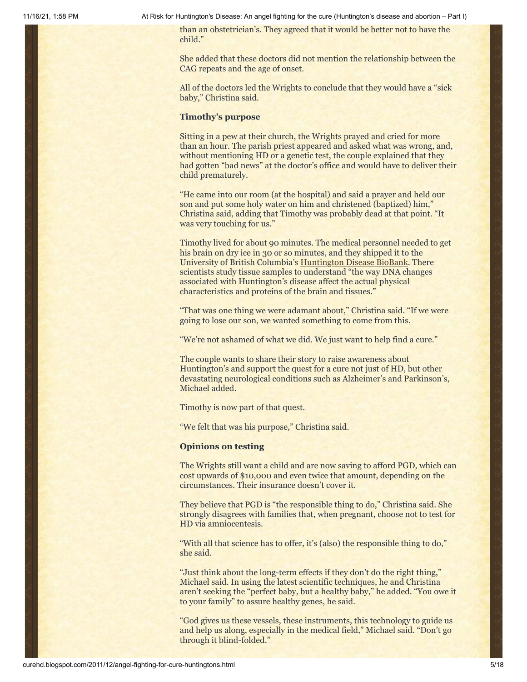than an obstetrician's. They agreed that it would be better not to have the child."

She added that these doctors did not mention the relationship between the CAG repeats and the age of onset.

All of the doctors led the Wrights to conclude that they would have a "sick baby," Christina said.

#### **Timothy's purpose**

Sitting in a pew at their church, the Wrights prayed and cried for more than an hour. The parish priest appeared and asked what was wrong, and, without mentioning HD or a genetic test, the couple explained that they had gotten "bad news" at the doctor's office and would have to deliver their child prematurely.

"He came into our room (at the hospital) and said a prayer and held our son and put some holy water on him and christened (baptized) him," Christina said, adding that Timothy was probably dead at that point. "It was very touching for us."

Timothy lived for about 90 minutes. The medical personnel needed to get his brain on dry ice in 30 or so minutes, and they shipped it to the University of British Columbia's [Huntington Disease BioBank](http://www.cmmt.ubc.ca/outreach/hd-clinic/tissue-bank). There scientists study tissue samples to understand "the way DNA changes associated with Huntington's disease affect the actual physical characteristics and proteins of the brain and tissues."

"That was one thing we were adamant about," Christina said. "If we were going to lose our son, we wanted something to come from this.

"We're not ashamed of what we did. We just want to help find a cure."

The couple wants to share their story to raise awareness about Huntington's and support the quest for a cure not just of HD, but other devastating neurological conditions such as Alzheimer's and Parkinson's, Michael added.

Timothy is now part of that quest.

"We felt that was his purpose," Christina said.

#### **Opinions on testing**

The Wrights still want a child and are now saving to afford PGD, which can cost upwards of \$10,000 and even twice that amount, depending on the circumstances. Their insurance doesn't cover it.

They believe that PGD is "the responsible thing to do," Christina said. She strongly disagrees with families that, when pregnant, choose not to test for HD via amniocentesis.

"With all that science has to offer, it's (also) the responsible thing to do," she said.

"Just think about the long-term effects if they don't do the right thing," Michael said. In using the latest scientific techniques, he and Christina aren't seeking the "perfect baby, but a healthy baby," he added. "You owe it to your family" to assure healthy genes, he said.

"God gives us these vessels, these instruments, this technology to guide us and help us along, especially in the medical field," Michael said. "Don't go through it blind-folded."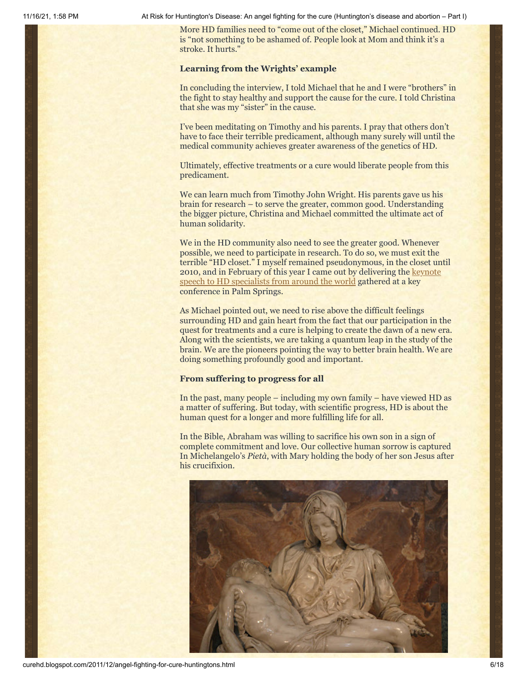More HD families need to "come out of the closet," Michael continued. HD is "not something to be ashamed of. People look at Mom and think it's a stroke. It hurts."

#### **Learning from the Wrights' example**

In concluding the interview, I told Michael that he and I were "brothers" in the fight to stay healthy and support the cause for the cure. I told Christina that she was my "sister" in the cause.

I've been meditating on Timothy and his parents. I pray that others don't have to face their terrible predicament, although many surely will until the medical community achieves greater awareness of the genetics of HD.

Ultimately, effective treatments or a cure would liberate people from this predicament.

We can learn much from Timothy John Wright. His parents gave us his brain for research – to serve the greater, common good. Understanding the bigger picture, Christina and Michael committed the ultimate act of human solidarity.

We in the HD community also need to see the greater good. Whenever possible, we need to participate in research. To do so, we must exit the terrible "HD closet." I myself remained pseudonymous, in the closet until [2010, and in February of this year I came out by delivering the keynote](http://curehd.blogspot.com/2011/02/unmasking-gene-veritas-huntingtons.html) speech to HD specialists from around the world gathered at a key conference in Palm Springs.

As Michael pointed out, we need to rise above the difficult feelings surrounding HD and gain heart from the fact that our participation in the quest for treatments and a cure is helping to create the dawn of a new era. Along with the scientists, we are taking a quantum leap in the study of the brain. We are the pioneers pointing the way to better brain health. We are doing something profoundly good and important.

#### **From suffering to progress for all**

In the past, many people – including my own family – have viewed HD as a matter of suffering. But today, with scientific progress, HD is about the human quest for a longer and more fulfilling life for all.

In the Bible, Abraham was willing to sacrifice his own son in a sign of complete commitment and love. Our collective human sorrow is captured In Michelangelo's *Pietà*, with Mary holding the body of her son Jesus after his crucifixion.

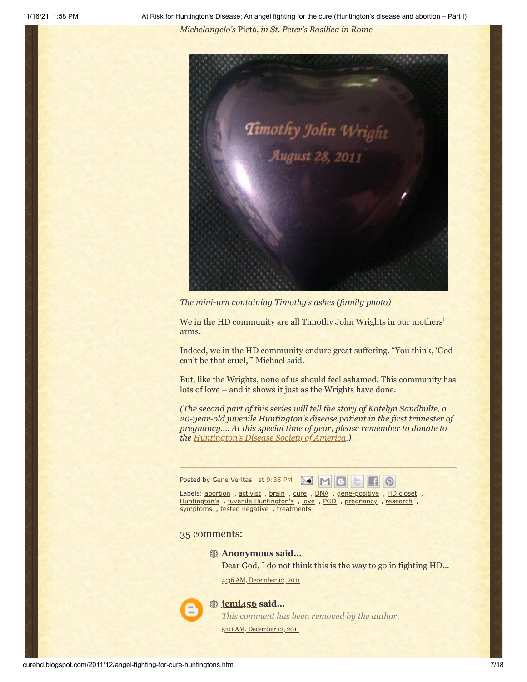11/16/21, 1:58 PM At Risk for Huntington's Disease: An angel fighting for the cure (Huntington's disease and abortion – Part I) *Michelangelo's* Pietà*, in St. Peter's Basilica in Rome*



*The mini-urn containing Timothy's ashes (family photo)*

We in the HD community are all Timothy John Wrights in our mothers' arms.

Indeed, we in the HD community endure great suffering. "You think, 'God can't be that cruel,'" Michael said.

But, like the Wrights, none of us should feel ashamed. This community has lots of love – and it shows it just as the Wrights have done.

*(The second part of this series will tell the story of Katelyn Sandbulte, a 20-year-old juvenile Huntington's disease patient in the first trimester of pregnancy.... At this special time of year, please remember to donate to the [Huntington's Disease Society of America](http://www.hdsa.org/).)*

Posted by Gene [Veritas](https://www.blogger.com/profile/03599828959793084715) at [9:35](http://curehd.blogspot.com/2011/12/angel-fighting-for-cure-huntingtons.html) PM X



Labels: [abortion](http://curehd.blogspot.com/search/label/abortion) , [activist](http://curehd.blogspot.com/search/label/activist) , [brain](http://curehd.blogspot.com/search/label/brain) , [cure](http://curehd.blogspot.com/search/label/cure) , [DNA](http://curehd.blogspot.com/search/label/DNA) , [gene-positive](http://curehd.blogspot.com/search/label/gene-positive) , HD [closet](http://curehd.blogspot.com/search/label/HD%20closet) , [Huntington's](http://curehd.blogspot.com/search/label/juvenile%20Huntington%27s), juvenile Huntington's, [love](http://curehd.blogspot.com/search/label/love), [PGD](http://curehd.blogspot.com/search/label/PGD), [pregnancy](http://curehd.blogspot.com/search/label/pregnancy), [research](http://curehd.blogspot.com/search/label/research), [symptoms](http://curehd.blogspot.com/search/label/symptoms), tested [negative](http://curehd.blogspot.com/search/label/tested%20negative), [treatments](http://curehd.blogspot.com/search/label/treatments)

#### 35 comments:

#### **Anonymous said...**

Dear God, I do not think this is the way to go in fighting HD...

4:36 AM, [December](http://curehd.blogspot.com/2011/12/angel-fighting-for-cure-huntingtons.html?showComment=1323693381511#c2866442200792216851) 12, 2011



#### **[jemi456](https://www.blogger.com/profile/15031537678455407834) said...**

*This comment has been removed by the author.* 5:01 AM, [December](http://curehd.blogspot.com/2011/12/angel-fighting-for-cure-huntingtons.html?showComment=1323694870521#c4139555591448512974) 12, 2011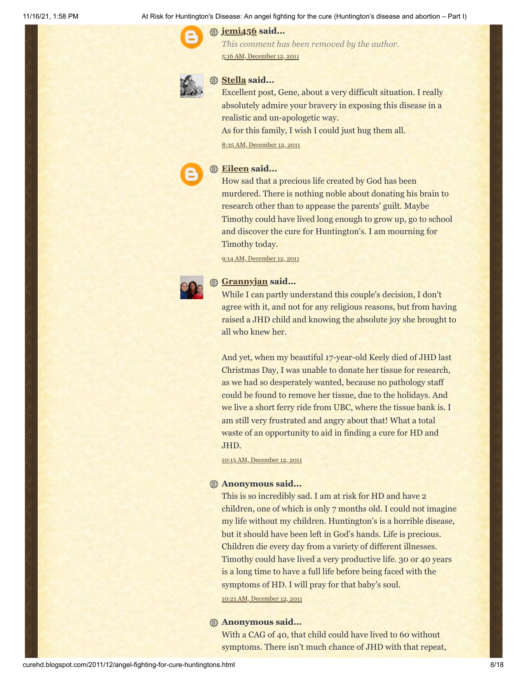#### **[jemi456](https://www.blogger.com/profile/15031537678455407834) said...**

*This comment has been removed by the author.* 5:16 AM, [December](http://curehd.blogspot.com/2011/12/angel-fighting-for-cure-huntingtons.html?showComment=1323695784772#c393045842133373216) 12, 2011



#### **[Stella](https://www.blogger.com/profile/03407483855797641612) said...**

Excellent post, Gene, about a very difficult situation. I really absolutely admire your bravery in exposing this disease in a realistic and un-apologetic way.

As for this family, I wish I could just hug them all.

8:35 AM, [December](http://curehd.blogspot.com/2011/12/angel-fighting-for-cure-huntingtons.html?showComment=1323707739185#c2284279376513621706) 12, 2011



# **[Eileen](https://www.blogger.com/profile/17846743925480044397) said...**

How sad that a precious life created by God has been murdered. There is nothing noble about donating his brain to research other than to appease the parents' guilt. Maybe Timothy could have lived long enough to grow up, go to school and discover the cure for Huntington's. I am mourning for Timothy today.

9:14 AM, [December](http://curehd.blogspot.com/2011/12/angel-fighting-for-cure-huntingtons.html?showComment=1323710047384#c1477210938440262935) 12, 2011



# **[Grannyjan](https://www.blogger.com/profile/02296457630541732399) said...**

While I can partly understand this couple's decision, I don't agree with it, and not for any religious reasons, but from having raised a JHD child and knowing the absolute joy she brought to all who knew her.

And yet, when my beautiful 17-year-old Keely died of JHD last Christmas Day, I was unable to donate her tissue for research, as we had so desperately wanted, because no pathology staff could be found to remove her tissue, due to the holidays. And we live a short ferry ride from UBC, where the tissue bank is. I am still very frustrated and angry about that! What a total waste of an opportunity to aid in finding a cure for HD and JHD.

10:15 AM, [December](http://curehd.blogspot.com/2011/12/angel-fighting-for-cure-huntingtons.html?showComment=1323713727418#c296735318518429438) 12, 2011

#### **Anonymous said...**

This is so incredibly sad. I am at risk for HD and have 2 children, one of which is only 7 months old. I could not imagine my life without my children. Huntington's is a horrible disease, but it should have been left in God's hands. Life is precious. Children die every day from a variety of different illnesses. Timothy could have lived a very productive life. 30 or 40 years is a long time to have a full life before being faced with the symptoms of HD. I will pray for that baby's soul. 10:21 AM, [December](http://curehd.blogspot.com/2011/12/angel-fighting-for-cure-huntingtons.html?showComment=1323714092911#c1247289787873872694) 12, 2011

### **Anonymous said...**

With a CAG of 40, that child could have lived to 60 without symptoms. There isn't much chance of JHD with that repeat,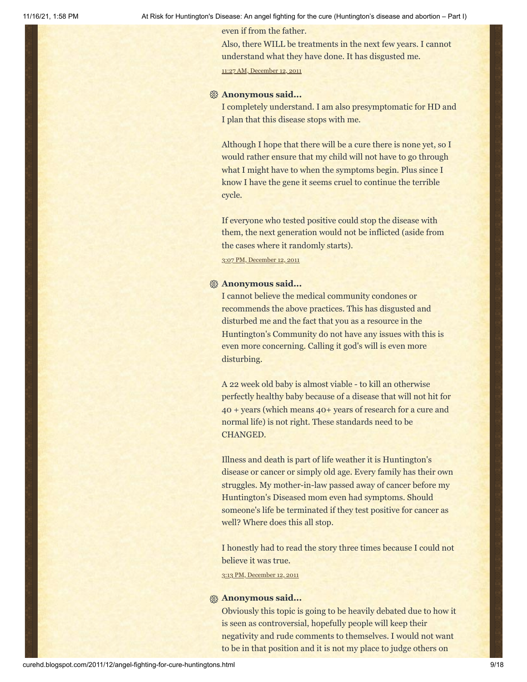even if from the father.

Also, there WILL be treatments in the next few years. I cannot understand what they have done. It has disgusted me. 11:27 AM, [December](http://curehd.blogspot.com/2011/12/angel-fighting-for-cure-huntingtons.html?showComment=1323718078289#c6419255475729943285) 12, 2011

#### **Anonymous said...**

I completely understand. I am also presymptomatic for HD and I plan that this disease stops with me.

Although I hope that there will be a cure there is none yet, so I would rather ensure that my child will not have to go through what I might have to when the symptoms begin. Plus since I know I have the gene it seems cruel to continue the terrible cycle.

If everyone who tested positive could stop the disease with them, the next generation would not be inflicted (aside from the cases where it randomly starts).

3:07 PM, [December](http://curehd.blogspot.com/2011/12/angel-fighting-for-cure-huntingtons.html?showComment=1323731256245#c8110069883233000150) 12, 2011

#### **Anonymous said...**

I cannot believe the medical community condones or recommends the above practices. This has disgusted and disturbed me and the fact that you as a resource in the Huntington's Community do not have any issues with this is even more concerning. Calling it god's will is even more disturbing.

A 22 week old baby is almost viable - to kill an otherwise perfectly healthy baby because of a disease that will not hit for 40 + years (which means 40+ years of research for a cure and normal life) is not right. These standards need to be CHANGED.

Illness and death is part of life weather it is Huntington's disease or cancer or simply old age. Every family has their own struggles. My mother-in-law passed away of cancer before my Huntington's Diseased mom even had symptoms. Should someone's life be terminated if they test positive for cancer as well? Where does this all stop.

I honestly had to read the story three times because I could not believe it was true.

3:13 PM, [December](http://curehd.blogspot.com/2011/12/angel-fighting-for-cure-huntingtons.html?showComment=1323731627760#c4504701670598635626) 12, 2011

#### **Anonymous said...**

Obviously this topic is going to be heavily debated due to how it is seen as controversial, hopefully people will keep their negativity and rude comments to themselves. I would not want to be in that position and it is not my place to judge others on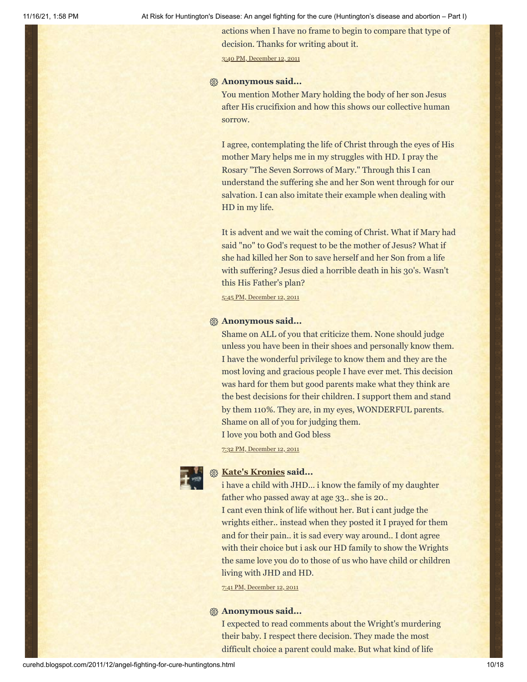actions when I have no frame to begin to compare that type of decision. Thanks for writing about it.

3:40 PM, [December](http://curehd.blogspot.com/2011/12/angel-fighting-for-cure-huntingtons.html?showComment=1323733209053#c8425650860547467242) 12, 2011

#### **Anonymous said...**

You mention Mother Mary holding the body of her son Jesus after His crucifixion and how this shows our collective human sorrow.

I agree, contemplating the life of Christ through the eyes of His mother Mary helps me in my struggles with HD. I pray the Rosary "The Seven Sorrows of Mary." Through this I can understand the suffering she and her Son went through for our salvation. I can also imitate their example when dealing with HD in my life.

It is advent and we wait the coming of Christ. What if Mary had said "no" to God's request to be the mother of Jesus? What if she had killed her Son to save herself and her Son from a life with suffering? Jesus died a horrible death in his 30's. Wasn't this His Father's plan?

5:45 PM, [December](http://curehd.blogspot.com/2011/12/angel-fighting-for-cure-huntingtons.html?showComment=1323740725298#c2511006911355001622) 12, 2011

#### **Anonymous said...**

Shame on ALL of you that criticize them. None should judge unless you have been in their shoes and personally know them. I have the wonderful privilege to know them and they are the most loving and gracious people I have ever met. This decision was hard for them but good parents make what they think are the best decisions for their children. I support them and stand by them 110%. They are, in my eyes, WONDERFUL parents. Shame on all of you for judging them.

I love you both and God bless

7:32 PM, [December](http://curehd.blogspot.com/2011/12/angel-fighting-for-cure-huntingtons.html?showComment=1323747149326#c6410872956114801883) 12, 2011

# **[Kate's Kronies](https://www.blogger.com/profile/14783112013158512961) said...**

i have a child with JHD... i know the family of my daughter father who passed away at age 33.. she is 20..

I cant even think of life without her. But i cant judge the wrights either.. instead when they posted it I prayed for them and for their pain.. it is sad every way around.. I dont agree with their choice but i ask our HD family to show the Wrights the same love you do to those of us who have child or children living with JHD and HD.

7:41 PM, [December](http://curehd.blogspot.com/2011/12/angel-fighting-for-cure-huntingtons.html?showComment=1323747694392#c7080204029179502552) 12, 2011

#### **Anonymous said...**

I expected to read comments about the Wright's murdering their baby. I respect there decision. They made the most difficult choice a parent could make. But what kind of life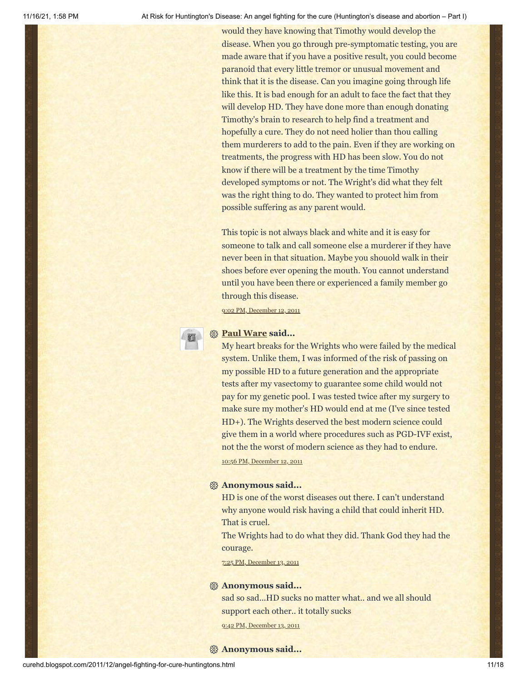would they have knowing that Timothy would develop the disease. When you go through pre-symptomatic testing, you are made aware that if you have a positive result, you could become paranoid that every little tremor or unusual movement and think that it is the disease. Can you imagine going through life like this. It is bad enough for an adult to face the fact that they will develop HD. They have done more than enough donating Timothy's brain to research to help find a treatment and hopefully a cure. They do not need holier than thou calling them murderers to add to the pain. Even if they are working on treatments, the progress with HD has been slow. You do not know if there will be a treatment by the time Timothy developed symptoms or not. The Wright's did what they felt was the right thing to do. They wanted to protect him from possible suffering as any parent would.

This topic is not always black and white and it is easy for someone to talk and call someone else a murderer if they have never been in that situation. Maybe you shouold walk in their shoes before ever opening the mouth. You cannot understand until you have been there or experienced a family member go through this disease.

9:02 PM, [December](http://curehd.blogspot.com/2011/12/angel-fighting-for-cure-huntingtons.html?showComment=1323752563601#c5008112234889693256) 12, 2011



#### **[Paul Ware](https://www.blogger.com/profile/00560327271258150142) said...**

My heart breaks for the Wrights who were failed by the medical system. Unlike them, I was informed of the risk of passing on my possible HD to a future generation and the appropriate tests after my vasectomy to guarantee some child would not pay for my genetic pool. I was tested twice after my surgery to make sure my mother's HD would end at me (I've since tested HD+). The Wrights deserved the best modern science could give them in a world where procedures such as PGD-IVF exist, not the the worst of modern science as they had to endure.

10:56 PM, [December](http://curehd.blogspot.com/2011/12/angel-fighting-for-cure-huntingtons.html?showComment=1323759363064#c7709949800416969334) 12, 2011

#### **Anonymous said...**

HD is one of the worst diseases out there. I can't understand why anyone would risk having a child that could inherit HD. That is cruel.

The Wrights had to do what they did. Thank God they had the courage.

7:25 PM, [December](http://curehd.blogspot.com/2011/12/angel-fighting-for-cure-huntingtons.html?showComment=1323833117131#c5719384397271405829) 13, 2011

#### **Anonymous said...**

sad so sad...HD sucks no matter what.. and we all should support each other.. it totally sucks

9:42 PM, [December](http://curehd.blogspot.com/2011/12/angel-fighting-for-cure-huntingtons.html?showComment=1323841366651#c2885285918760696824) 13, 2011

#### **Anonymous said...**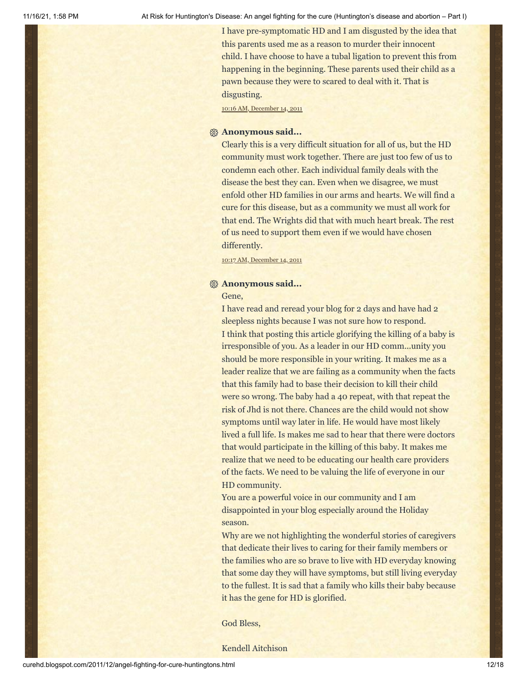I have pre-symptomatic HD and I am disgusted by the idea that this parents used me as a reason to murder their innocent child. I have choose to have a tubal ligation to prevent this from happening in the beginning. These parents used their child as a pawn because they were to scared to deal with it. That is disgusting.

10:16 AM, [December](http://curehd.blogspot.com/2011/12/angel-fighting-for-cure-huntingtons.html?showComment=1323886586356#c3001296999225103769) 14, 2011

#### **Anonymous said...**

Clearly this is a very difficult situation for all of us, but the HD community must work together. There are just too few of us to condemn each other. Each individual family deals with the disease the best they can. Even when we disagree, we must enfold other HD families in our arms and hearts. We will find a cure for this disease, but as a community we must all work for that end. The Wrights did that with much heart break. The rest of us need to support them even if we would have chosen differently.

10:17 AM, [December](http://curehd.blogspot.com/2011/12/angel-fighting-for-cure-huntingtons.html?showComment=1323886641628#c8371600786788965188) 14, 2011

#### **Anonymous said...**

#### Gene,

I have read and reread your blog for 2 days and have had 2 sleepless nights because I was not sure how to respond. I think that posting this article glorifying the killing of a baby is irresponsible of you. As a leader in our HD comm...unity you should be more responsible in your writing. It makes me as a leader realize that we are failing as a community when the facts that this family had to base their decision to kill their child were so wrong. The baby had a 40 repeat, with that repeat the risk of Jhd is not there. Chances are the child would not show symptoms until way later in life. He would have most likely lived a full life. Is makes me sad to hear that there were doctors that would participate in the killing of this baby. It makes me realize that we need to be educating our health care providers of the facts. We need to be valuing the life of everyone in our HD community.

You are a powerful voice in our community and I am disappointed in your blog especially around the Holiday season.

Why are we not highlighting the wonderful stories of caregivers that dedicate their lives to caring for their family members or the families who are so brave to live with HD everyday knowing that some day they will have symptoms, but still living everyday to the fullest. It is sad that a family who kills their baby because it has the gene for HD is glorified.

God Bless,

Kendell Aitchison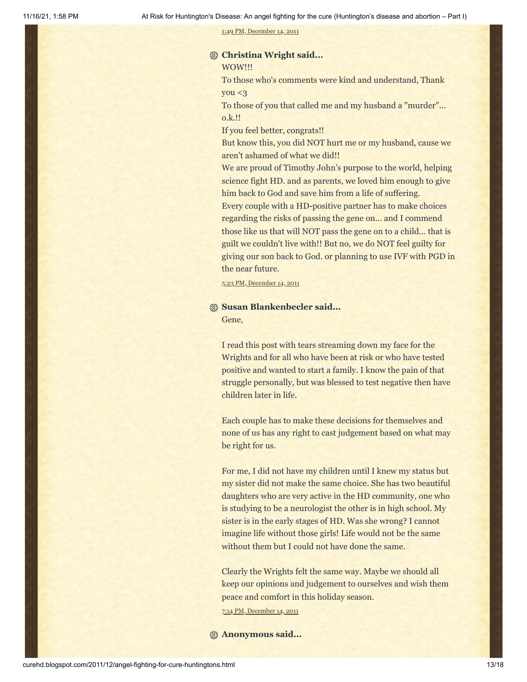1:49 PM, [December](http://curehd.blogspot.com/2011/12/angel-fighting-for-cure-huntingtons.html?showComment=1323899382523#c5749719757978223507) 14, 2011

# **Christina Wright said...**

WOW!!!

To those who's comments were kind and understand, Thank you <3

To those of you that called me and my husband a "murder"... o.k.!!

If you feel better, congrats!!

But know this, you did NOT hurt me or my husband, cause we aren't ashamed of what we did!!

We are proud of Timothy John's purpose to the world, helping science fight HD. and as parents, we loved him enough to give him back to God and save him from a life of suffering.

Every couple with a HD-positive partner has to make choices regarding the risks of passing the gene on... and I commend those like us that will NOT pass the gene on to a child... that is guilt we couldn't live with!! But no, we do NOT feel guilty for giving our son back to God. or planning to use IVF with PGD in the near future.

5:23 PM, [December](http://curehd.blogspot.com/2011/12/angel-fighting-for-cure-huntingtons.html?showComment=1323912209608#c3223839946565410057) 14, 2011

#### **Susan Blankenbecler said...**

Gene,

I read this post with tears streaming down my face for the Wrights and for all who have been at risk or who have tested positive and wanted to start a family. I know the pain of that struggle personally, but was blessed to test negative then have children later in life.

Each couple has to make these decisions for themselves and none of us has any right to cast judgement based on what may be right for us.

For me, I did not have my children until I knew my status but my sister did not make the same choice. She has two beautiful daughters who are very active in the HD community, one who is studying to be a neurologist the other is in high school. My sister is in the early stages of HD. Was she wrong? I cannot imagine life without those girls! Life would not be the same without them but I could not have done the same.

Clearly the Wrights felt the same way. Maybe we should all keep our opinions and judgement to ourselves and wish them peace and comfort in this holiday season.

7:14 PM, [December](http://curehd.blogspot.com/2011/12/angel-fighting-for-cure-huntingtons.html?showComment=1323918862666#c3398042825686363062) 14, 2011

**Anonymous said...**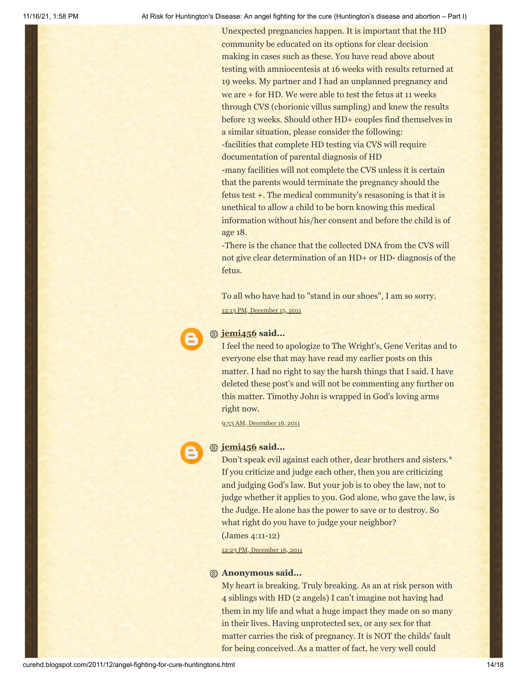Unexpected pregnancies happen. It is important that the HD community be educated on its options for clear decision making in cases such as these. You have read above about testing with amniocentesis at 16 weeks with results returned at 19 weeks. My partner and I had an unplanned pregnancy and we are + for HD. We were able to test the fetus at 11 weeks through CVS (chorionic villus sampling) and knew the results before 13 weeks. Should other HD+ couples find themselves in a similar situation, please consider the following: -facilities that complete HD testing via CVS will require documentation of parental diagnosis of HD -many facilities will not complete the CVS unless it is certain that the parents would terminate the pregnancy should the fetus test +. The medical community's resasoning is that it is unethical to allow a child to be born knowing this medical information without his/her consent and before the child is of age 18.

-There is the chance that the collected DNA from the CVS will not give clear determination of an HD+ or HD- diagnosis of the fetus.

To all who have had to "stand in our shoes", I am so sorry. 12:13 PM, [December](http://curehd.blogspot.com/2011/12/angel-fighting-for-cure-huntingtons.html?showComment=1323980032643#c8663214881986853432) 15, 2011



#### **[jemi456](https://www.blogger.com/profile/15031537678455407834) said...**

I feel the need to apologize to The Wright's, Gene Veritas and to everyone else that may have read my earlier posts on this matter. I had no right to say the harsh things that I said. I have deleted these post's and will not be commenting any further on this matter. Timothy John is wrapped in God's loving arms right now.

9:53 AM, [December](http://curehd.blogspot.com/2011/12/angel-fighting-for-cure-huntingtons.html?showComment=1324058030172#c1781096268108498678) 16, 2011



#### **[jemi456](https://www.blogger.com/profile/15031537678455407834) said...**

Don't speak evil against each other, dear brothers and sisters.\* If you criticize and judge each other, then you are criticizing and judging God's law. But your job is to obey the law, not to judge whether it applies to you. God alone, who gave the law, is the Judge. He alone has the power to save or to destroy. So what right do you have to judge your neighbor?

(James 4:11-12)

12:23 PM, [December](http://curehd.blogspot.com/2011/12/angel-fighting-for-cure-huntingtons.html?showComment=1324067027417#c6031824863585336601) 16, 2011

#### **Anonymous said...**

My heart is breaking. Truly breaking. As an at risk person with 4 siblings with HD (2 angels) I can't imagine not having had them in my life and what a huge impact they made on so many in their lives. Having unprotected sex, or any sex for that matter carries the risk of pregnancy. It is NOT the childs' fault for being conceived. As a matter of fact, he very well could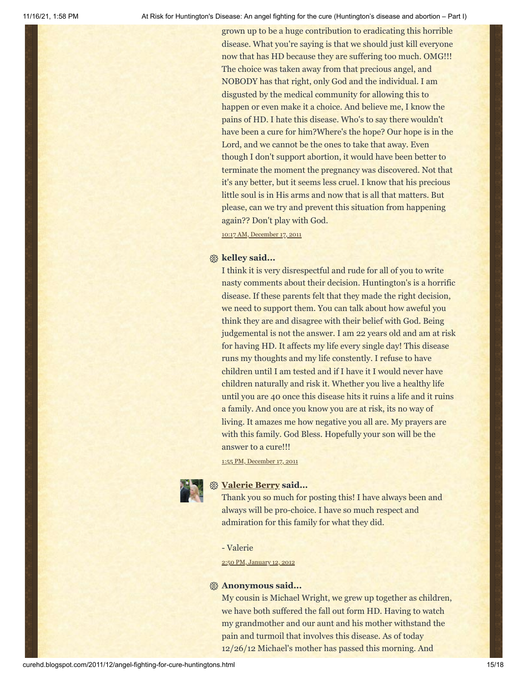grown up to be a huge contribution to eradicating this horrible disease. What you're saying is that we should just kill everyone now that has HD because they are suffering too much. OMG!!! The choice was taken away from that precious angel, and NOBODY has that right, only God and the individual. I am disgusted by the medical community for allowing this to happen or even make it a choice. And believe me, I know the pains of HD. I hate this disease. Who's to say there wouldn't have been a cure for him?Where's the hope? Our hope is in the Lord, and we cannot be the ones to take that away. Even though I don't support abortion, it would have been better to terminate the moment the pregnancy was discovered. Not that it's any better, but it seems less cruel. I know that his precious little soul is in His arms and now that is all that matters. But please, can we try and prevent this situation from happening again?? Don't play with God.

10:17 AM, [December](http://curehd.blogspot.com/2011/12/angel-fighting-for-cure-huntingtons.html?showComment=1324145859873#c3425403553722971541) 17, 2011

#### **kelley said...**

I think it is very disrespectful and rude for all of you to write nasty comments about their decision. Huntington's is a horrific disease. If these parents felt that they made the right decision, we need to support them. You can talk about how aweful you think they are and disagree with their belief with God. Being judgemental is not the answer. I am 22 years old and am at risk for having HD. It affects my life every single day! This disease runs my thoughts and my life constently. I refuse to have children until I am tested and if I have it I would never have children naturally and risk it. Whether you live a healthy life until you are 40 once this disease hits it ruins a life and it ruins a family. And once you know you are at risk, its no way of living. It amazes me how negative you all are. My prayers are with this family. God Bless. Hopefully your son will be the answer to a cure!!!

1:55 PM, [December](http://curehd.blogspot.com/2011/12/angel-fighting-for-cure-huntingtons.html?showComment=1324158901204#c7907655886911608037) 17, 2011



#### **[Valerie Berry](https://www.blogger.com/profile/07331003937518447036) said...**

Thank you so much for posting this! I have always been and always will be pro-choice. I have so much respect and admiration for this family for what they did.

- Valerie

2:50 PM, [January](http://curehd.blogspot.com/2011/12/angel-fighting-for-cure-huntingtons.html?showComment=1326408627986#c7406892760271841235) 12, 2012

#### **Anonymous said...**

My cousin is Michael Wright, we grew up together as children, we have both suffered the fall out form HD. Having to watch my grandmother and our aunt and his mother withstand the pain and turmoil that involves this disease. As of today 12/26/12 Michael's mother has passed this morning. And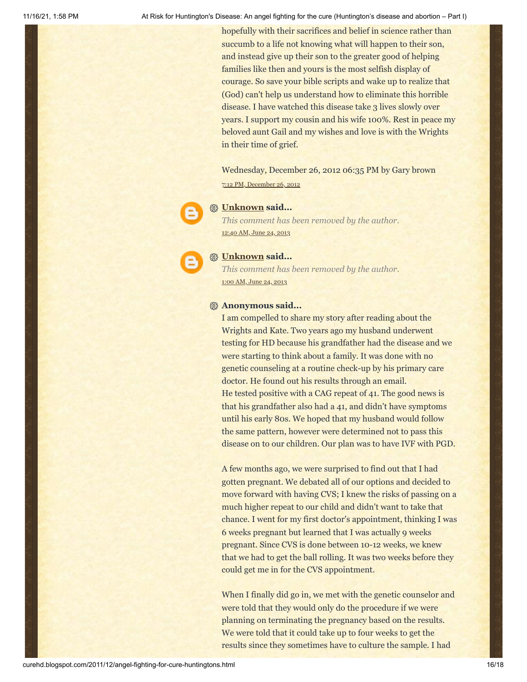hopefully with their sacrifices and belief in science rather than succumb to a life not knowing what will happen to their son, and instead give up their son to the greater good of helping families like then and yours is the most selfish display of courage. So save your bible scripts and wake up to realize that (God) can't help us understand how to eliminate this horrible disease. I have watched this disease take 3 lives slowly over years. I support my cousin and his wife 100%. Rest in peace my beloved aunt Gail and my wishes and love is with the Wrights in their time of grief.

Wednesday, December 26, 2012 06:35 PM by Gary brown 7:12 PM, [December](http://curehd.blogspot.com/2011/12/angel-fighting-for-cure-huntingtons.html?showComment=1356577942729#c4250403555988030675) 26, 2012



### **[Unknown](https://www.blogger.com/profile/03402066065702505370) said...**

*This comment has been removed by the author.* [12:40](http://curehd.blogspot.com/2011/12/angel-fighting-for-cure-huntingtons.html?showComment=1372059627865#c4212432197925606940) AM, June 24, 2013



#### **[Unknown](https://www.blogger.com/profile/03402066065702505370) said...**

*This comment has been removed by the author.* 1:00 AM, [June](http://curehd.blogspot.com/2011/12/angel-fighting-for-cure-huntingtons.html?showComment=1372060827733#c2760581782987571988) 24, 2013

#### **Anonymous said...**

I am compelled to share my story after reading about the Wrights and Kate. Two years ago my husband underwent testing for HD because his grandfather had the disease and we were starting to think about a family. It was done with no genetic counseling at a routine check-up by his primary care doctor. He found out his results through an email. He tested positive with a CAG repeat of 41. The good news is that his grandfather also had a 41, and didn't have symptoms until his early 80s. We hoped that my husband would follow the same pattern, however were determined not to pass this disease on to our children. Our plan was to have IVF with PGD.

A few months ago, we were surprised to find out that I had gotten pregnant. We debated all of our options and decided to move forward with having CVS; I knew the risks of passing on a much higher repeat to our child and didn't want to take that chance. I went for my first doctor's appointment, thinking I was 6 weeks pregnant but learned that I was actually 9 weeks pregnant. Since CVS is done between 10-12 weeks, we knew that we had to get the ball rolling. It was two weeks before they could get me in for the CVS appointment.

When I finally did go in, we met with the genetic counselor and were told that they would only do the procedure if we were planning on terminating the pregnancy based on the results. We were told that it could take up to four weeks to get the results since they sometimes have to culture the sample. I had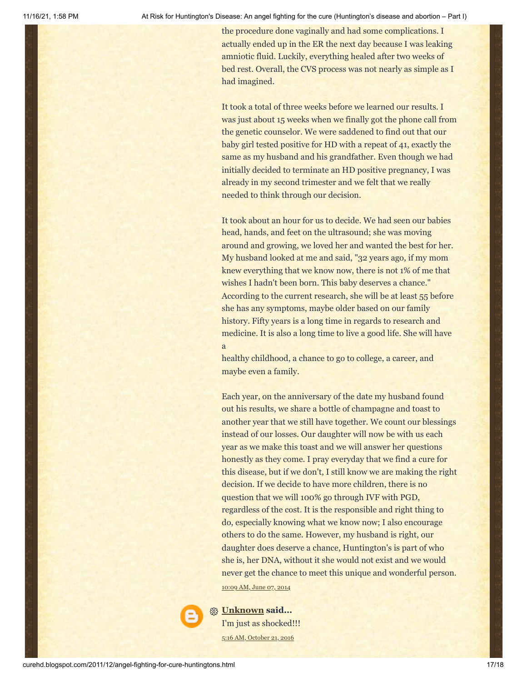the procedure done vaginally and had some complications. I actually ended up in the ER the next day because I was leaking amniotic fluid. Luckily, everything healed after two weeks of bed rest. Overall, the CVS process was not nearly as simple as I had imagined.

It took a total of three weeks before we learned our results. I was just about 15 weeks when we finally got the phone call from the genetic counselor. We were saddened to find out that our baby girl tested positive for HD with a repeat of 41, exactly the same as my husband and his grandfather. Even though we had initially decided to terminate an HD positive pregnancy, I was already in my second trimester and we felt that we really needed to think through our decision.

It took about an hour for us to decide. We had seen our babies head, hands, and feet on the ultrasound; she was moving around and growing, we loved her and wanted the best for her. My husband looked at me and said, "32 years ago, if my mom knew everything that we know now, there is not 1% of me that wishes I hadn't been born. This baby deserves a chance." According to the current research, she will be at least 55 before she has any symptoms, maybe older based on our family history. Fifty years is a long time in regards to research and medicine. It is also a long time to live a good life. She will have a

healthy childhood, a chance to go to college, a career, and maybe even a family.

Each year, on the anniversary of the date my husband found out his results, we share a bottle of champagne and toast to another year that we still have together. We count our blessings instead of our losses. Our daughter will now be with us each year as we make this toast and we will answer her questions honestly as they come. I pray everyday that we find a cure for this disease, but if we don't, I still know we are making the right decision. If we decide to have more children, there is no question that we will 100% go through IVF with PGD, regardless of the cost. It is the responsible and right thing to do, especially knowing what we know now; I also encourage others to do the same. However, my husband is right, our daughter does deserve a chance, Huntington's is part of who she is, her DNA, without it she would not exist and we would never get the chance to meet this unique and wonderful person.

[10:09](http://curehd.blogspot.com/2011/12/angel-fighting-for-cure-huntingtons.html?showComment=1402160989091#c8656125099171239406) AM, June 07, 2014

**[Unknown](https://www.blogger.com/profile/04099902606095260251) said...** I'm just as shocked!!! 5:16 AM, [October](http://curehd.blogspot.com/2011/12/angel-fighting-for-cure-huntingtons.html?showComment=1477052212839#c5722169991597423629) 21, 2016